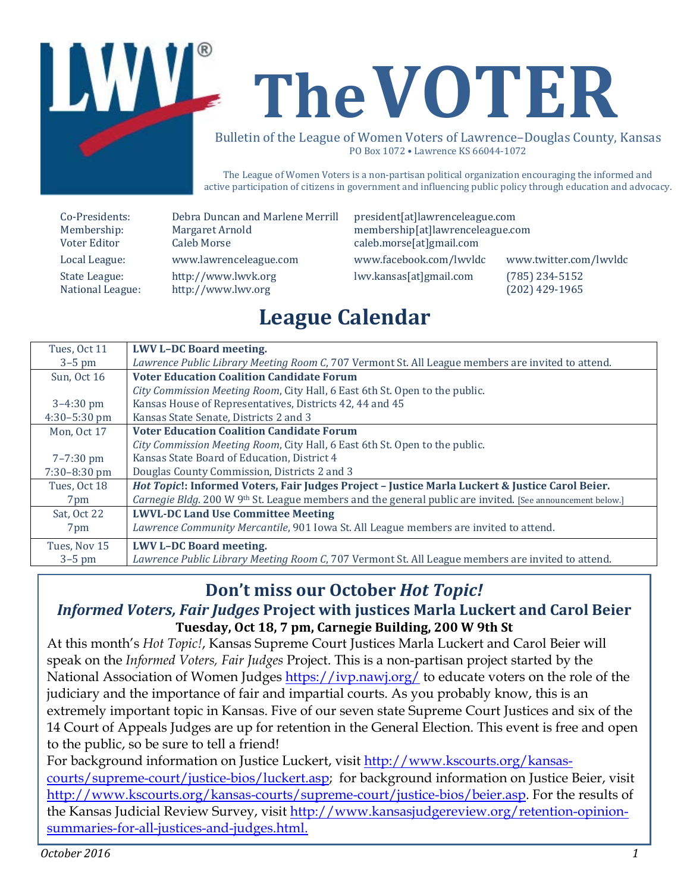

# **TheVOTER**

Bulletin of the League of Women Voters of Lawrence –Douglas County, Kansas PO Box 1072 • Lawrence KS 66044-1072

The League of Women Voters is a non-partisan political organization encouraging the informed and active participation of citizens in government and influencing public policy through education and advocacy.

| Co-Presidents:   |
|------------------|
| Membership:      |
| Voter Editor     |
| Local League:    |
| State League:    |
| National League: |

www.lawrenceleague.com [www.facebook.com/lwvldc](http://www.facebook.com/lwvldc) www.twitter.com/lwvldc [http://www.lwvk.org](http://www.lwvk.org/) lwv.kansas[at]gmail.com (785) 234-5152<br>http://www.lwv.org (202) 429-1965 [http://www.lwv.org](http://www.lwv.org/)

Co-Presidents: Debra Duncan and Marlene Merrill president[at]lawrenceleague.com Margaret Arnold membership[at]lawrenceleague.com<br>
Caleb Morse caleb.morse[at]gmail.com caleb.morse[at]gmail.com

# **League Calendar**

| Tues, Oct 11          | <b>LWV L-DC Board meeting.</b>                                                                            |
|-----------------------|-----------------------------------------------------------------------------------------------------------|
| $3-5$ pm              | Lawrence Public Library Meeting Room C, 707 Vermont St. All League members are invited to attend.         |
| Sun, Oct 16           | <b>Voter Education Coalition Candidate Forum</b>                                                          |
|                       | City Commission Meeting Room, City Hall, 6 East 6th St. Open to the public.                               |
| $3 - 4:30$ pm         | Kansas House of Representatives, Districts 42, 44 and 45                                                  |
| $4:30-5:30$ pm        | Kansas State Senate, Districts 2 and 3                                                                    |
| Mon, Oct 17           | <b>Voter Education Coalition Candidate Forum</b>                                                          |
|                       | City Commission Meeting Room, City Hall, 6 East 6th St. Open to the public.                               |
| $7 - 7:30 \text{ pm}$ | Kansas State Board of Education, District 4                                                               |
| $7:30-8:30$ pm        | Douglas County Commission, Districts 2 and 3                                                              |
| Tues, Oct 18          | Hot Topic!: Informed Voters, Fair Judges Project - Justice Marla Luckert & Justice Carol Beier.           |
| 7 <sub>pm</sub>       | Carnegie Bldg. 200 W 9th St. League members and the general public are invited. [See announcement below.] |
| Sat, Oct 22           | <b>LWVL-DC Land Use Committee Meeting</b>                                                                 |
| 7pm                   | Lawrence Community Mercantile, 901 Iowa St. All League members are invited to attend.                     |
| Tues, Nov 15          | <b>LWV L-DC Board meeting.</b>                                                                            |
| $3-5$ pm              | Lawrence Public Library Meeting Room C, 707 Vermont St. All League members are invited to attend.         |

### **Don't miss our October** *Hot Topic!*

#### *Informed Voters, Fair Judges* **Project with justices Marla Luckert and Carol Beier Tuesday, Oct 18, 7 pm, Carnegie Building, 200 W 9th St**

At this month's *Hot Topic!*, Kansas Supreme Court Justices Marla Luckert and Carol Beier will speak on the *Informed Voters, Fair Judges* Project. This is a non-partisan project started by the National Association of Women Judges <https://ivp.nawj.org/> to educate voters on the role of the judiciary and the importance of fair and impartial courts. As you probably know, this is an extremely important topic in Kansas. Five of our seven state Supreme Court Justices and six of the 14 Court of Appeals Judges are up for retention in the General Election. This event is free and open to the public, so be sure to tell a friend!

For background information on Justice Luckert, visit [http://www.kscourts.org/kansas](http://www.kscourts.org/kansas-courts/supreme-court/justice-bios/luckert.asp)[courts/supreme-court/justice-bios/luckert.asp;](http://www.kscourts.org/kansas-courts/supreme-court/justice-bios/luckert.asp) for background information on Justice Beier, visit [http://www.kscourts.org/kansas-courts/supreme-court/justice-bios/beier.asp.](http://www.kscourts.org/kansas-courts/supreme-court/justice-bios/beier.asp) For the results of the Kansas Judicial Review Survey, visit [http://www.kansasjudgereview.org/retention-opinion](http://www.kansasjudgereview.org/retention-opinion-summaries-for-all-justices-and-judges.html)[summaries-for-all-justices-and-judges.html.](http://www.kansasjudgereview.org/retention-opinion-summaries-for-all-justices-and-judges.html)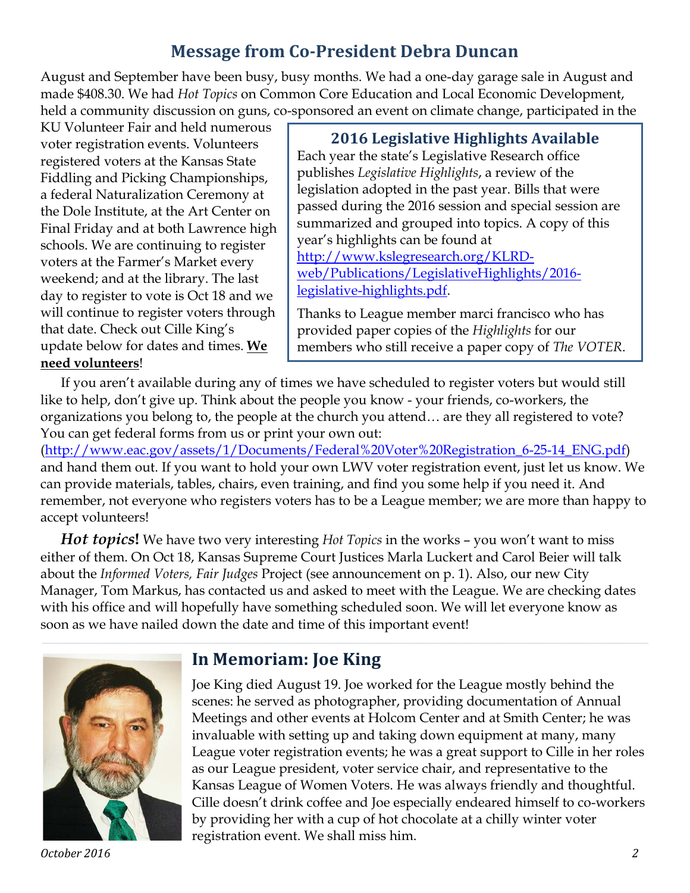# **Message from Co-President Debra Duncan**

August and September have been busy, busy months. We had a one-day garage sale in August and made \$408.30. We had *Hot Topics* on Common Core Education and Local Economic Development, held a community discussion on guns, co-sponsored an event on climate change, participated in the

KU Volunteer Fair and held numerous voter registration events. Volunteers registered voters at the Kansas State Fiddling and Picking Championships, a federal Naturalization Ceremony at the Dole Institute, at the Art Center on Final Friday and at both Lawrence high schools. We are continuing to register voters at the Farmer's Market every weekend; and at the library. The last day to register to vote is Oct 18 and we will continue to register voters through that date. Check out Cille King's update below for dates and times. **We need volunteers**!

#### **2016 Legislative Highlights Available**

Each year the state's Legislative Research office publishes *Legislative Highlights*, a review of the legislation adopted in the past year. Bills that were passed during the 2016 session and special session are summarized and grouped into topics. A copy of this year's highlights can be found at [http://www.kslegresearch.org/KLRD](http://www.kslegresearch.org/KLRD-web/Publications/LegislativeHighlights/2016-legislative-highlights.pdf)[web/Publications/LegislativeHighlights/2016](http://www.kslegresearch.org/KLRD-web/Publications/LegislativeHighlights/2016-legislative-highlights.pdf) [legislative-highlights.pdf.](http://www.kslegresearch.org/KLRD-web/Publications/LegislativeHighlights/2016-legislative-highlights.pdf)

Thanks to League member marci francisco who has provided paper copies of the *Highlights* for our members who still receive a paper copy of *The VOTER*.

If you aren't available during any of times we have scheduled to register voters but would still like to help, don't give up. Think about the people you know - your friends, co-workers, the organizations you belong to, the people at the church you attend… are they all registered to vote? You can get federal forms from us or print your own out:

[\(http://www.eac.gov/assets/1/Documents/Federal%20Voter%20Registration\\_6-25-14\\_ENG.pdf\)](http://www.eac.gov/assets/1/Documents/Federal%20Voter%20Registration_6-25-14_ENG.pdf) and hand them out. If you want to hold your own LWV voter registration event, just let us know. We can provide materials, tables, chairs, even training, and find you some help if you need it. And remember, not everyone who registers voters has to be a League member; we are more than happy to accept volunteers!

*Hot topics***!** We have two very interesting *Hot Topics* in the works – you won't want to miss either of them. On Oct 18, Kansas Supreme Court Justices Marla Luckert and Carol Beier will talk about the *Informed Voters, Fair Judges* Project (see announcement on p. 1). Also, our new City Manager, Tom Markus, has contacted us and asked to meet with the League. We are checking dates with his office and will hopefully have something scheduled soon. We will let everyone know as soon as we have nailed down the date and time of this important event!



*October 2016 2*

#### **In Memoriam: Joe King**

Joe King died August 19. Joe worked for the League mostly behind the scenes: he served as photographer, providing documentation of Annual Meetings and other events at Holcom Center and at Smith Center; he was invaluable with setting up and taking down equipment at many, many League voter registration events; he was a great support to Cille in her roles as our League president, voter service chair, and representative to the Kansas League of Women Voters. He was always friendly and thoughtful. Cille doesn't drink coffee and Joe especially endeared himself to co-workers by providing her with a cup of hot chocolate at a chilly winter voter registration event. We shall miss him.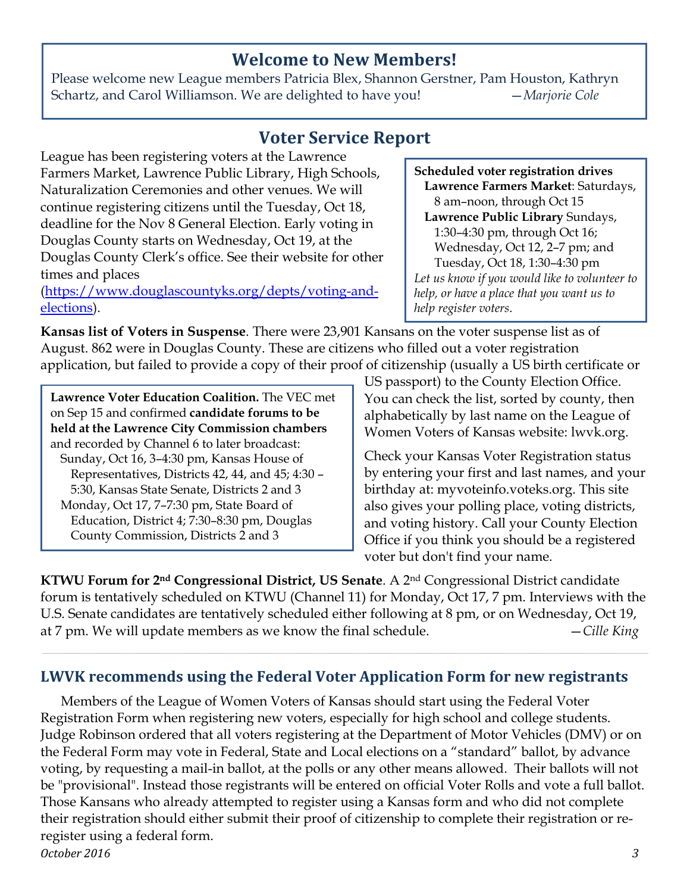#### **Welcome to New Members!**

Please welcome new League members Patricia Blex, Shannon Gerstner, Pam Houston, Kathryn Schartz, and Carol Williamson. We are delighted to have you! —*Marjorie Cole*

### **Voter Service Report**

League has been registering voters at the Lawrence Farmers Market, Lawrence Public Library, High Schools, Naturalization Ceremonies and other venues. We will continue registering citizens until the Tuesday, Oct 18, deadline for the Nov 8 General Election. Early voting in Douglas County starts on Wednesday, Oct 19, at the Douglas County Clerk's office. See their website for other times and places

[\(https://www.douglascountyks.org/depts/voting-and](https://www.douglascountyks.org/depts/voting-and-elections)[elections\)](https://www.douglascountyks.org/depts/voting-and-elections).

**Kansas list of Voters in Suspense**. There were 23,901 Kansans on the voter suspense list as of August. 862 were in Douglas County. These are citizens who filled out a voter registration application, but failed to provide a copy of their proof of citizenship (usually a US birth certificate or

**Lawrence Voter Education Coalition.** The VEC met on Sep 15 and confirmed **candidate forums to be held at the Lawrence City Commission chambers** and recorded by Channel 6 to later broadcast: Sunday, Oct 16, 3–4:30 pm, Kansas House of Representatives, Districts 42, 44, and 45; 4:30 – 5:30, Kansas State Senate, Districts 2 and 3 Monday, Oct 17, 7–7:30 pm, State Board of Education, District 4; 7:30–8:30 pm, Douglas County Commission, Districts 2 and 3

US passport) to the County Election Office. You can check the list, sorted by county, then alphabetically by last name on the League of Women Voters of Kansas website: lwvk.org.

Check your Kansas Voter Registration status by entering your first and last names, and your birthday at: myvoteinfo.voteks.org. This site also gives your polling place, voting districts, and voting history. Call your County Election Office if you think you should be a registered voter but don't find your name.

**KTWU Forum for 2nd Congressional District, US Senate**. A 2nd Congressional District candidate forum is tentatively scheduled on KTWU (Channel 11) for Monday, Oct 17, 7 pm. Interviews with the U.S. Senate candidates are tentatively scheduled either following at 8 pm, or on Wednesday, Oct 19, at 7 pm. We will update members as we know the final schedule. —*Cille King*

#### **LWVK recommends using the Federal Voter Application Form for new registrants**

Members of the League of Women Voters of Kansas should start using the Federal Voter Registration Form when registering new voters, especially for high school and college students. Judge Robinson ordered that all voters registering at the Department of Motor Vehicles (DMV) or on the Federal Form may vote in Federal, State and Local elections on a "standard" ballot, by advance voting, by requesting a mail-in ballot, at the polls or any other means allowed. Their ballots will not be "provisional". Instead those registrants will be entered on official Voter Rolls and vote a full ballot. Those Kansans who already attempted to register using a Kansas form and who did not complete their registration should either submit their proof of citizenship to complete their registration or reregister using a federal form.

*October 2016 3*

**Scheduled voter registration drives Lawrence Farmers Market**: Saturdays, 8 am–noon, through Oct 15 **Lawrence Public Library** Sundays, 1:30–4:30 pm, through Oct 16; Wednesday, Oct 12, 2–7 pm; and Tuesday, Oct 18, 1:30–4:30 pm *Let us know if you would like to volunteer to help, or have a place that you want us to help register voters*.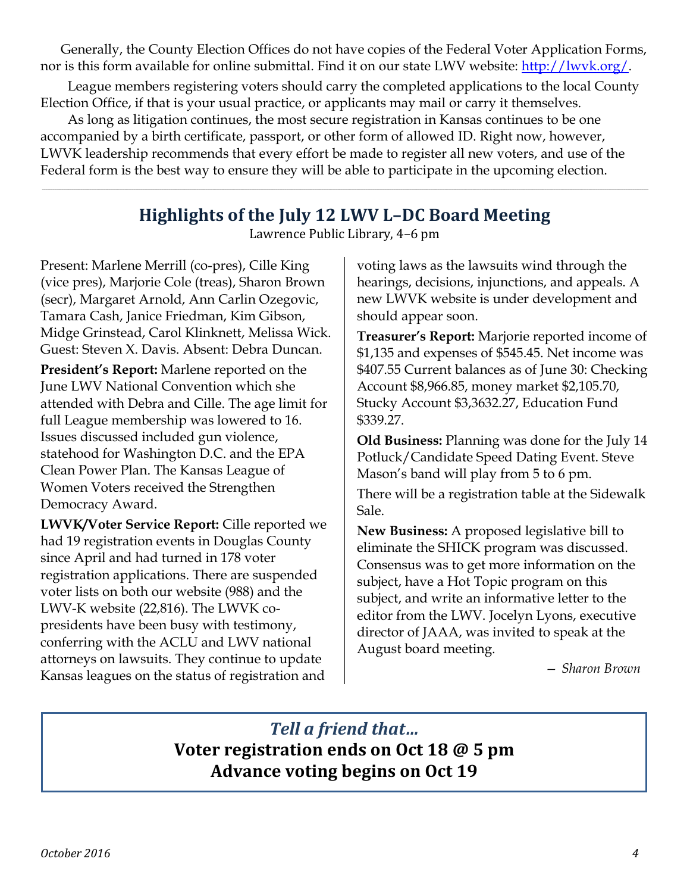Generally, the County Election Offices do not have copies of the Federal Voter Application Forms, nor is this form available for online submittal. Find it on our state LWV website: [http://lwvk.org/.](http://lwvk.org/)

League members registering voters should carry the completed applications to the local County Election Office, if that is your usual practice, or applicants may mail or carry it themselves.

As long as litigation continues, the most secure registration in Kansas continues to be one accompanied by a birth certificate, passport, or other form of allowed ID. Right now, however, LWVK leadership recommends that every effort be made to register all new voters, and use of the Federal form is the best way to ensure they will be able to participate in the upcoming election.

# **Highlights of the July 12 LWV L–DC Board Meeting**

Lawrence Public Library, 4–6 pm

Present: Marlene Merrill (co-pres), Cille King (vice pres), Marjorie Cole (treas), Sharon Brown (secr), Margaret Arnold, Ann Carlin Ozegovic, Tamara Cash, Janice Friedman, Kim Gibson, Midge Grinstead, Carol Klinknett, Melissa Wick. Guest: Steven X. Davis. Absent: Debra Duncan.

**President's Report:** Marlene reported on the June LWV National Convention which she attended with Debra and Cille. The age limit for full League membership was lowered to 16. Issues discussed included gun violence, statehood for Washington D.C. and the EPA Clean Power Plan. The Kansas League of Women Voters received the Strengthen Democracy Award.

**LWVK/Voter Service Report:** Cille reported we had 19 registration events in Douglas County since April and had turned in 178 voter registration applications. There are suspended voter lists on both our website (988) and the LWV-K website (22,816). The LWVK copresidents have been busy with testimony, conferring with the ACLU and LWV national attorneys on lawsuits. They continue to update Kansas leagues on the status of registration and

voting laws as the lawsuits wind through the hearings, decisions, injunctions, and appeals. A new LWVK website is under development and should appear soon.

**Treasurer's Report:** Marjorie reported income of \$1,135 and expenses of \$545.45. Net income was \$407.55 Current balances as of June 30: Checking Account \$8,966.85, money market \$2,105.70, Stucky Account \$3,3632.27, Education Fund \$339.27.

**Old Business:** Planning was done for the July 14 Potluck/Candidate Speed Dating Event. Steve Mason's band will play from 5 to 6 pm.

There will be a registration table at the Sidewalk Sale.

**New Business:** A proposed legislative bill to eliminate the SHICK program was discussed. Consensus was to get more information on the subject, have a Hot Topic program on this subject, and write an informative letter to the editor from the LWV. Jocelyn Lyons, executive director of JAAA, was invited to speak at the August board meeting.

*— Sharon Brown*

*Tell a friend that…* **Voter registration ends on Oct 18 @ 5 pm Advance voting begins on Oct 19**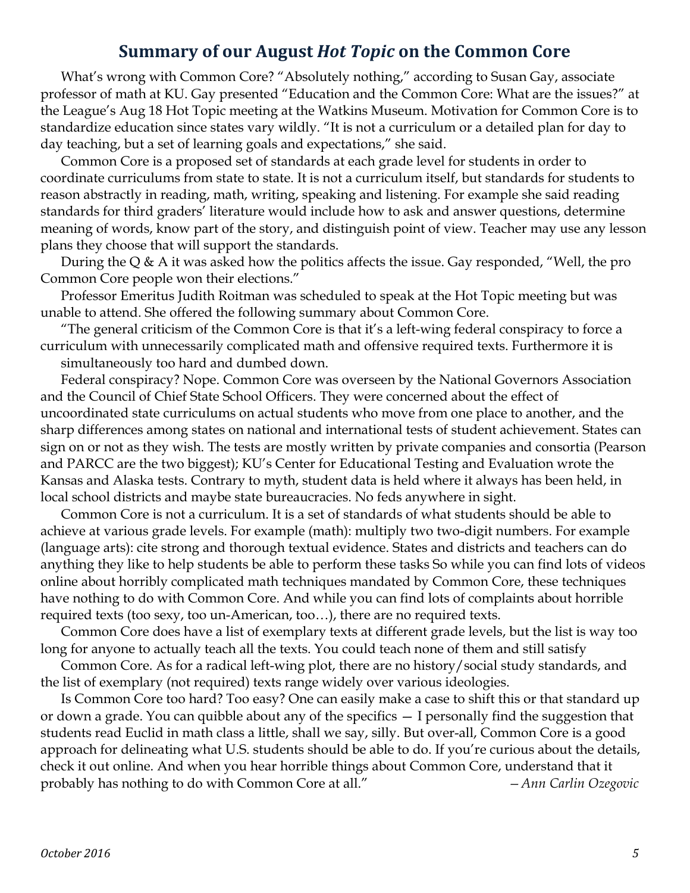#### **Summary of our August** *Hot Topic* **on the Common Core**

What's wrong with Common Core? "Absolutely nothing," according to Susan Gay, associate professor of math at KU. Gay presented "Education and the Common Core: What are the issues?" at the League's Aug 18 Hot Topic meeting at the Watkins Museum. Motivation for Common Core is to standardize education since states vary wildly. "It is not a curriculum or a detailed plan for day to day teaching, but a set of learning goals and expectations," she said.

Common Core is a proposed set of standards at each grade level for students in order to coordinate curriculums from state to state. It is not a curriculum itself, but standards for students to reason abstractly in reading, math, writing, speaking and listening. For example she said reading standards for third graders' literature would include how to ask and answer questions, determine meaning of words, know part of the story, and distinguish point of view. Teacher may use any lesson plans they choose that will support the standards.

During the Q & A it was asked how the politics affects the issue. Gay responded, "Well, the pro Common Core people won their elections."

Professor Emeritus Judith Roitman was scheduled to speak at the Hot Topic meeting but was unable to attend. She offered the following summary about Common Core.

"The general criticism of the Common Core is that it's a left-wing federal conspiracy to force a curriculum with unnecessarily complicated math and offensive required texts. Furthermore it is simultaneously too hard and dumbed down.

Federal conspiracy? Nope. Common Core was overseen by the National Governors Association and the Council of Chief State School Officers. They were concerned about the effect of uncoordinated state curriculums on actual students who move from one place to another, and the sharp differences among states on national and international tests of student achievement. States can sign on or not as they wish. The tests are mostly written by private companies and consortia (Pearson and PARCC are the two biggest); KU's Center for Educational Testing and Evaluation wrote the Kansas and Alaska tests. Contrary to myth, student data is held where it always has been held, in local school districts and maybe state bureaucracies. No feds anywhere in sight.

Common Core is not a curriculum. It is a set of standards of what students should be able to achieve at various grade levels. For example (math): multiply two two-digit numbers. For example (language arts): cite strong and thorough textual evidence. States and districts and teachers can do anything they like to help students be able to perform these tasks So while you can find lots of videos online about horribly complicated math techniques mandated by Common Core, these techniques have nothing to do with Common Core. And while you can find lots of complaints about horrible required texts (too sexy, too un-American, too…), there are no required texts.

Common Core does have a list of exemplary texts at different grade levels, but the list is way too long for anyone to actually teach all the texts. You could teach none of them and still satisfy

Common Core. As for a radical left-wing plot, there are no history/social study standards, and the list of exemplary (not required) texts range widely over various ideologies.

Is Common Core too hard? Too easy? One can easily make a case to shift this or that standard up or down a grade. You can quibble about any of the specifics — I personally find the suggestion that students read Euclid in math class a little, shall we say, silly. But over-all, Common Core is a good approach for delineating what U.S. students should be able to do. If you're curious about the details, check it out online. And when you hear horrible things about Common Core, understand that it probably has nothing to do with Common Core at all." *—Ann Carlin Ozegovic*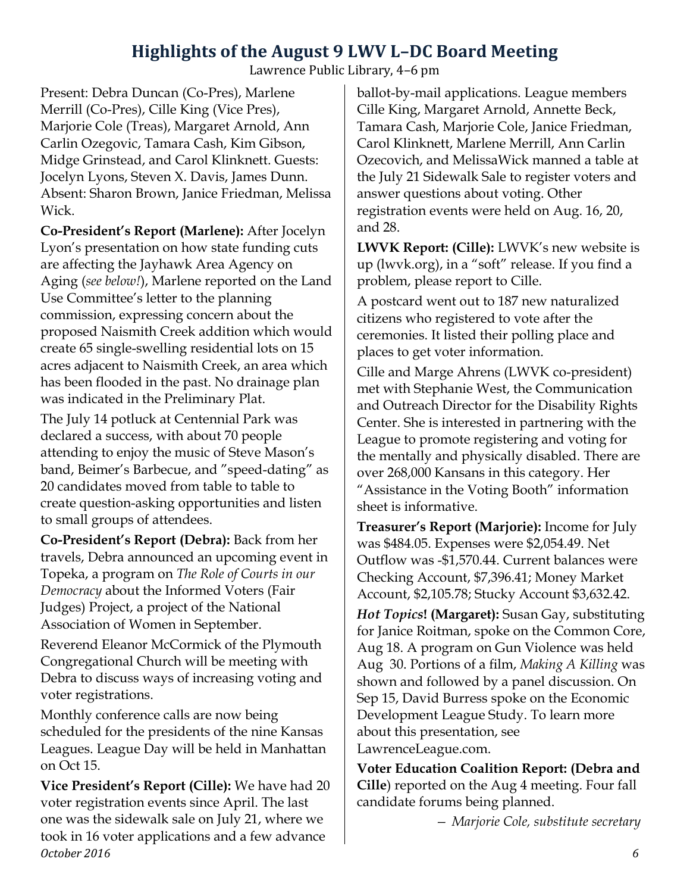## **Highlights of the August 9 LWV L–DC Board Meeting**

Lawrence Public Library, 4–6 pm

Present: Debra Duncan (Co-Pres), Marlene Merrill (Co-Pres), Cille King (Vice Pres), Marjorie Cole (Treas), Margaret Arnold, Ann Carlin Ozegovic, Tamara Cash, Kim Gibson, Midge Grinstead, and Carol Klinknett. Guests: Jocelyn Lyons, Steven X. Davis, James Dunn. Absent: Sharon Brown, Janice Friedman, Melissa Wick.

**Co-President's Report (Marlene):** After Jocelyn Lyon's presentation on how state funding cuts are affecting the Jayhawk Area Agency on Aging (*see below!*), Marlene reported on the Land Use Committee's letter to the planning commission, expressing concern about the proposed Naismith Creek addition which would create 65 single-swelling residential lots on 15 acres adjacent to Naismith Creek, an area which has been flooded in the past. No drainage plan was indicated in the Preliminary Plat.

The July 14 potluck at Centennial Park was declared a success, with about 70 people attending to enjoy the music of Steve Mason's band, Beimer's Barbecue, and "speed-dating" as 20 candidates moved from table to table to create question-asking opportunities and listen to small groups of attendees.

**Co-President's Report (Debra):** Back from her travels, Debra announced an upcoming event in Topeka, a program on *The Role of Courts in our Democracy* about the Informed Voters (Fair Judges) Project, a project of the National Association of Women in September.

Reverend Eleanor McCormick of the Plymouth Congregational Church will be meeting with Debra to discuss ways of increasing voting and voter registrations.

Monthly conference calls are now being scheduled for the presidents of the nine Kansas Leagues. League Day will be held in Manhattan on Oct 15.

*October 2016 6* **Vice President's Report (Cille):** We have had 20 voter registration events since April. The last one was the sidewalk sale on July 21, where we took in 16 voter applications and a few advance

ballot-by-mail applications. League members Cille King, Margaret Arnold, Annette Beck, Tamara Cash, Marjorie Cole, Janice Friedman, Carol Klinknett, Marlene Merrill, Ann Carlin Ozecovich, and MelissaWick manned a table at the July 21 Sidewalk Sale to register voters and answer questions about voting. Other registration events were held on Aug. 16, 20, and 28.

**LWVK Report: (Cille):** LWVK's new website is up (lwvk.org), in a "soft" release. If you find a problem, please report to Cille.

A postcard went out to 187 new naturalized citizens who registered to vote after the ceremonies. It listed their polling place and places to get voter information.

Cille and Marge Ahrens (LWVK co-president) met with Stephanie West, the Communication and Outreach Director for the Disability Rights Center. She is interested in partnering with the League to promote registering and voting for the mentally and physically disabled. There are over 268,000 Kansans in this category. Her "Assistance in the Voting Booth" information sheet is informative.

**Treasurer's Report (Marjorie):** Income for July was \$484.05. Expenses were \$2,054.49. Net Outflow was -\$1,570.44. Current balances were Checking Account, \$7,396.41; Money Market Account, \$2,105.78; Stucky Account \$3,632.42.

*Hot Topics***! (Margaret):** Susan Gay, substituting for Janice Roitman, spoke on the Common Core, Aug 18. A program on Gun Violence was held Aug 30. Portions of a film, *Making A Killing* was shown and followed by a panel discussion. On Sep 15, David Burress spoke on the Economic Development League Study. To learn more about this presentation, see LawrenceLeague.com.

**Voter Education Coalition Report: (Debra and Cille**) reported on the Aug 4 meeting. Four fall candidate forums being planned.

*— Marjorie Cole, substitute secretary*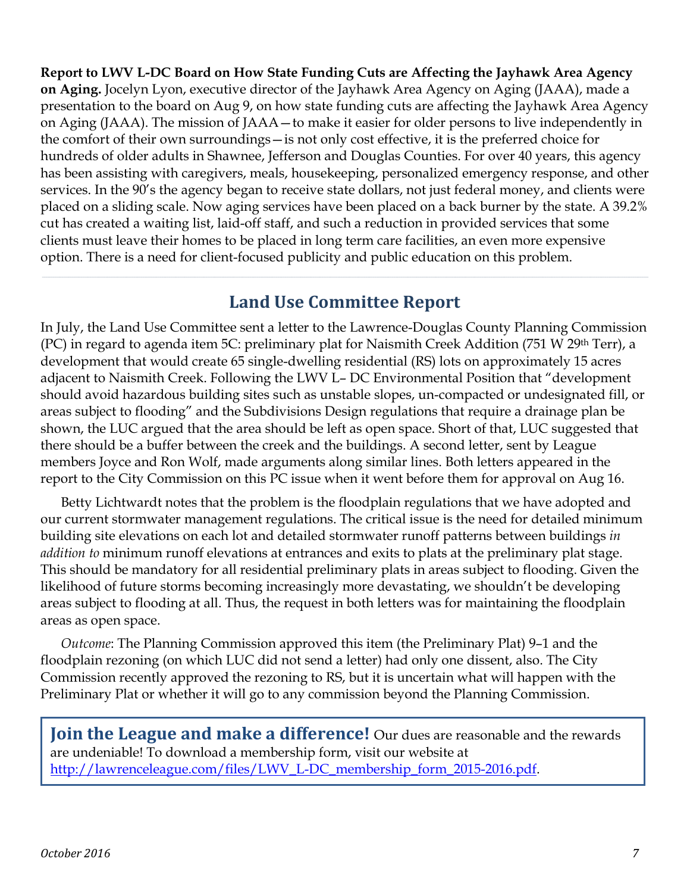**Report to LWV L-DC Board on How State Funding Cuts are Affecting the Jayhawk Area Agency on Aging.** Jocelyn Lyon, executive director of the Jayhawk Area Agency on Aging (JAAA), made a presentation to the board on Aug 9, on how state funding cuts are affecting the Jayhawk Area Agency on Aging (JAAA). The mission of JAAA—to make it easier for older persons to live independently in the comfort of their own surroundings—is not only cost effective, it is the preferred choice for hundreds of older adults in Shawnee, Jefferson and Douglas Counties. For over 40 years, this agency has been assisting with caregivers, meals, housekeeping, personalized emergency response, and other services. In the 90's the agency began to receive state dollars, not just federal money, and clients were placed on a sliding scale. Now aging services have been placed on a back burner by the state. A 39.2% cut has created a waiting list, laid-off staff, and such a reduction in provided services that some clients must leave their homes to be placed in long term care facilities, an even more expensive option. There is a need for client-focused publicity and public education on this problem.

#### **Land Use Committee Report**

In July, the Land Use Committee sent a letter to the Lawrence-Douglas County Planning Commission (PC) in regard to agenda item 5C: preliminary plat for Naismith Creek Addition (751 W 29<sup>th</sup> Terr), a development that would create 65 single-dwelling residential (RS) lots on approximately 15 acres adjacent to Naismith Creek. Following the LWV L– DC Environmental Position that "development should avoid hazardous building sites such as unstable slopes, un-compacted or undesignated fill, or areas subject to flooding" and the Subdivisions Design regulations that require a drainage plan be shown, the LUC argued that the area should be left as open space. Short of that, LUC suggested that there should be a buffer between the creek and the buildings. A second letter, sent by League members Joyce and Ron Wolf, made arguments along similar lines. Both letters appeared in the report to the City Commission on this PC issue when it went before them for approval on Aug 16.

Betty Lichtwardt notes that the problem is the floodplain regulations that we have adopted and our current stormwater management regulations. The critical issue is the need for detailed minimum building site elevations on each lot and detailed stormwater runoff patterns between buildings *in addition to* minimum runoff elevations at entrances and exits to plats at the preliminary plat stage. This should be mandatory for all residential preliminary plats in areas subject to flooding. Given the likelihood of future storms becoming increasingly more devastating, we shouldn't be developing areas subject to flooding at all. Thus, the request in both letters was for maintaining the floodplain areas as open space.

*Outcome*: The Planning Commission approved this item (the Preliminary Plat) 9–1 and the floodplain rezoning (on which LUC did not send a letter) had only one dissent, also. The City Commission recently approved the rezoning to RS, but it is uncertain what will happen with the Preliminary Plat or whether it will go to any commission beyond the Planning Commission.

**Join the League and make a difference!** Our dues are reasonable and the rewards are undeniable! To download a membership form, visit our website at [http://lawrenceleague.com/files/LWV\\_L-DC\\_membership\\_form\\_2015-2016.pdf.](http://lawrenceleague.com/files/LWV_L-DC_membership_form_2015-2016.pdf)